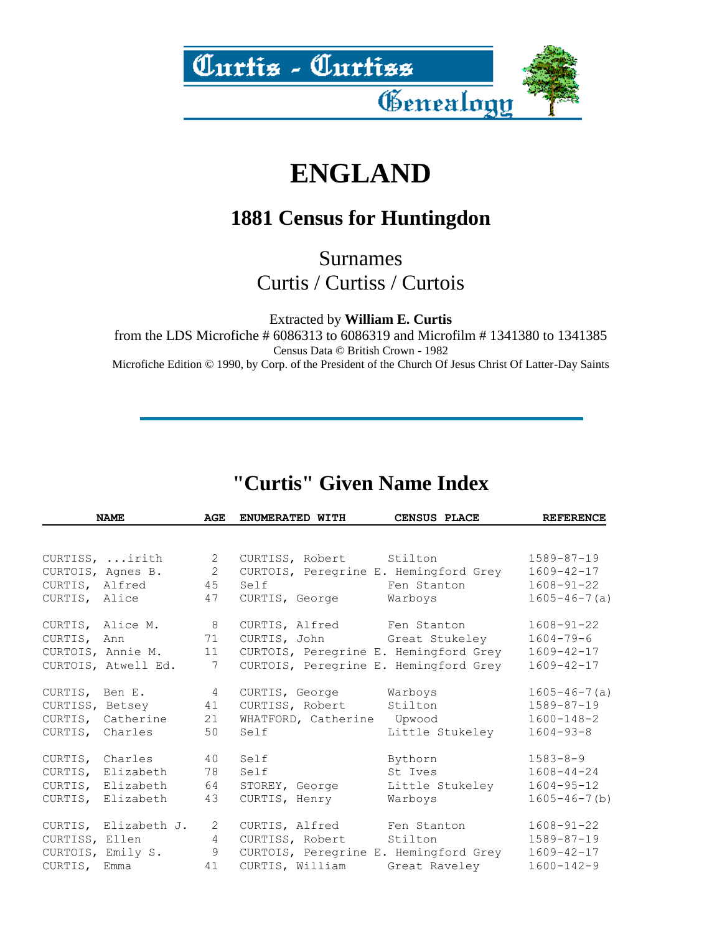

## **ENGLAND**

## **1881 Census for Huntingdon**

Surnames Curtis / Curtiss / Curtois

Extracted by **William E. Curtis**

from the LDS Microfiche # 6086313 to 6086319 and Microfilm # 1341380 to 1341385 Census Data © British Crown - 1982 Microfiche Edition © 1990, by Corp. of the President of the Church Of Jesus Christ Of Latter-Day Saints

## **"Curtis" Given Name Index**

| <b>NAME</b>            | AGE             | <b>ENUMERATED WITH</b>                | CENSUS PLACE    | <b>REFERENCE</b>    |
|------------------------|-----------------|---------------------------------------|-----------------|---------------------|
|                        |                 |                                       |                 |                     |
| CURTISS, irith         | $\overline{2}$  | CURTISS, Robert Stilton               |                 | $1589 - 87 - 19$    |
| CURTOIS, Agnes B. 2    |                 | CURTOIS, Peregrine E. Hemingford Grey |                 | $1609 - 42 - 17$    |
| CURTIS, Alfred 45      |                 | Self Fen Stanton                      |                 | $1608 - 91 - 22$    |
| CURTIS, Alice          | 47              | CURTIS, George                        | Warboys         | $1605 - 46 - 7(a)$  |
| CURTIS, Alice M. 8     |                 | CURTIS, Alfred Fen Stanton            |                 | $1608 - 91 - 22$    |
| CURTIS, Ann 71         |                 | CURTIS, John Great Stukeley           |                 | $1604 - 79 - 6$     |
| CURTOIS, Annie M.      | 11              | CURTOIS, Peregrine E. Hemingford Grey |                 | $1609 - 42 - 17$    |
| CURTOIS, Atwell Ed.    | $7\overline{ }$ | CURTOIS, Peregrine E. Hemingford Grey |                 | $1609 - 42 - 17$    |
| CURTIS, Ben E. 4       |                 | CURTIS, George Warboys                |                 | $1605 - 46 - 7(a)$  |
| CURTISS, Betsey 41     |                 | CURTISS, Robert                       | Stilton         | $1589 - 87 - 19$    |
| CURTIS, Catherine      | 21              | WHATFORD, Catherine Upwood            |                 | $1600 - 148 - 2$    |
| CURTIS, Charles        | 50              | Self                                  | Little Stukeley | $1604 - 93 - 8$     |
| CURTIS, Charles        | 40              | Self                                  | Bythorn         | $1583 - 8 - 9$      |
| CURTIS, Elizabeth      | 78              | Self                                  | St Ives         | $1608 - 44 - 24$    |
| CURTIS, Elizabeth 64   |                 | STOREY, George                        | Little Stukeley | $1604 - 95 - 12$    |
| CURTIS, Elizabeth      | 43              | CURTIS, Henry                         | Warboys         | $1605 - 46 - 7$ (b) |
| CURTIS, Elizabeth J. 2 |                 | CURTIS, Alfred Fen Stanton            |                 | $1608 - 91 - 22$    |
| CURTISS, Ellen 4       |                 | CURTISS, Robert Stilton               |                 | $1589 - 87 - 19$    |
| CURTOIS, Emily S. 9    |                 | CURTOIS, Peregrine E. Hemingford Grey |                 | $1609 - 42 - 17$    |
| CURTIS, Emma           | 41              | CURTIS, William                       | Great Raveley   | $1600 - 142 - 9$    |
|                        |                 |                                       |                 |                     |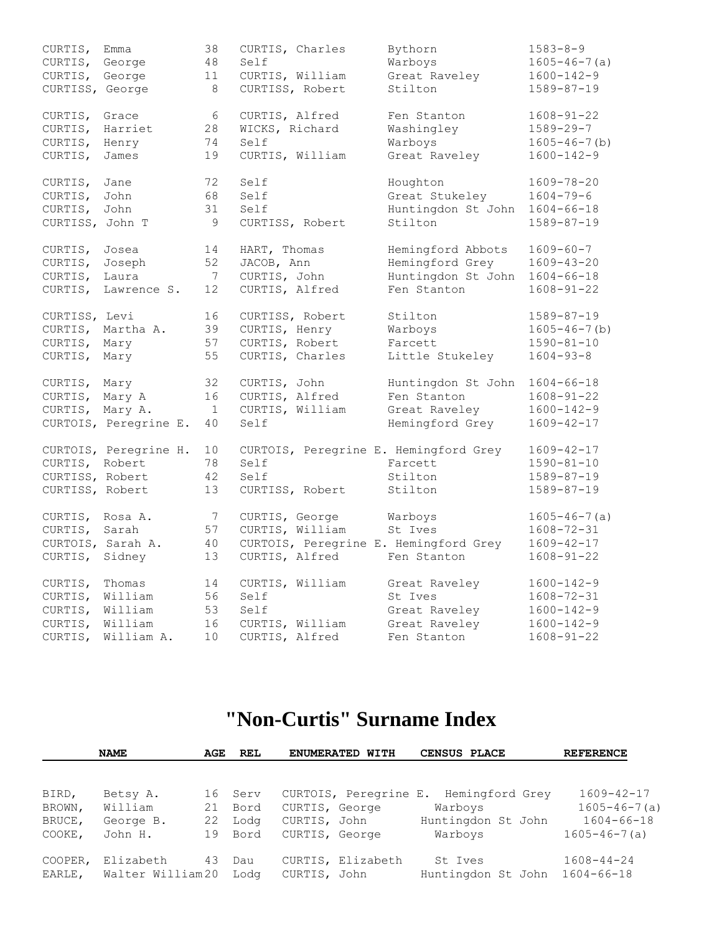| CURTIS,<br>CURTIS,<br>CURTIS, George<br>CURTISS, George | Emma<br>George                                        | 38<br>48<br>11<br>8            | CURTIS, Charles<br>Self<br>CURTIS, William<br>CURTISS, Robert                                | Bythorn<br>Warboys<br>Great Raveley<br>Stilton                            | $1583 - 8 - 9$<br>$1605 - 46 - 7(a)$<br>$1600 - 142 - 9$<br>$1589 - 87 - 19$                     |
|---------------------------------------------------------|-------------------------------------------------------|--------------------------------|----------------------------------------------------------------------------------------------|---------------------------------------------------------------------------|--------------------------------------------------------------------------------------------------|
| CURTIS,<br>CURTIS,<br>CURTIS,<br>CURTIS,                | Grace<br>Harriet<br>Henry<br>James                    | 6<br>28<br>74<br>19            | CURTIS, Alfred<br>WICKS, Richard<br>Self<br>CURTIS, William                                  | Fen Stanton<br>Washingley<br>Warboys<br>Great Raveley                     | $1608 - 91 - 22$<br>$1589 - 29 - 7$<br>$1605 - 46 - 7$ (b)<br>$1600 - 142 - 9$                   |
| CURTIS,<br>CURTIS,<br>CURTIS,<br>CURTISS, John T        | Jane<br>John<br>John                                  | 72<br>68<br>31<br>9            | Self<br>Self<br>Self<br>CURTISS, Robert                                                      | Houghton<br>Great Stukeley<br>Huntingdon St John<br>Stilton               | $1609 - 78 - 20$<br>$1604 - 79 - 6$<br>$1604 - 66 - 18$<br>$1589 - 87 - 19$                      |
| CURTIS,<br>CURTIS,<br>CURTIS,                           | Josea<br>Joseph<br>Laura<br>CURTIS, Lawrence S.       | 14<br>52<br>7<br>12            | HART, Thomas<br>JACOB, Ann<br>CURTIS, John<br>CURTIS, Alfred                                 | Hemingford Abbots<br>Hemingford Grey<br>Huntingdon St John<br>Fen Stanton | $1609 - 60 - 7$<br>$1609 - 43 - 20$<br>$1604 - 66 - 18$<br>$1608 - 91 - 22$                      |
| CURTISS, Levi<br>CURTIS, Mary<br>CURTIS, Mary           | CURTIS, Martha A.                                     | 16<br>39<br>57<br>55           | CURTISS, Robert<br>CURTIS, Henry<br>CURTIS, Robert<br>CURTIS, Charles                        | Stilton<br>Warboys<br>Farcett<br>Little Stukeley                          | $1589 - 87 - 19$<br>$1605 - 46 - 7$ (b)<br>$1590 - 81 - 10$<br>$1604 - 93 - 8$                   |
| CURTIS,<br>CURTIS, Mary A<br>CURTIS, Mary A.            | Mary<br>CURTOIS, Peregrine E.                         | 32<br>16<br>$\mathbf{1}$<br>40 | CURTIS, John<br>CURTIS, Alfred<br>CURTIS, William<br>Self                                    | Huntingdon St John<br>Fen Stanton<br>Great Raveley<br>Hemingford Grey     | $1604 - 66 - 18$<br>$1608 - 91 - 22$<br>$1600 - 142 - 9$<br>$1609 - 42 - 17$                     |
| CURTIS, Robert<br>CURTISS, Robert<br>CURTISS, Robert    | CURTOIS, Peregrine H.                                 | 10<br>78<br>42<br>13           | CURTOIS, Peregrine E. Hemingford Grey<br>Self<br>Self<br>CURTISS, Robert                     | Farcett<br>Stilton<br>Stilton                                             | $1609 - 42 - 17$<br>$1590 - 81 - 10$<br>$1589 - 87 - 19$<br>$1589 - 87 - 19$                     |
| CURTIS, Rosa A.<br>CURTIS,<br>CURTIS,                   | Sarah<br>CURTOIS, Sarah A.<br>Sidney                  | 7<br>57<br>40<br>13            | CURTIS, George<br>CURTIS, William<br>CURTOIS, Peregrine E. Hemingford Grey<br>CURTIS, Alfred | Warboys<br>St Ives<br>Fen Stanton                                         | $1605 - 46 - 7(a)$<br>$1608 - 72 - 31$<br>$1609 - 42 - 17$<br>$1608 - 91 - 22$                   |
| CURTIS,<br>CURTIS,<br>CURTIS,<br>CURTIS,<br>CURTIS,     | Thomas<br>William<br>William<br>William<br>William A. | 14<br>56<br>53<br>16<br>10     | CURTIS, William<br>Self<br>Self<br>CURTIS, William<br>CURTIS, Alfred                         | Great Raveley<br>St Ives<br>Great Raveley<br>Great Raveley<br>Fen Stanton | $1600 - 142 - 9$<br>$1608 - 72 - 31$<br>$1600 - 142 - 9$<br>$1600 - 142 - 9$<br>$1608 - 91 - 22$ |

## **"Non-Curtis" Surname Index**

|                 | <b>NAME</b>         | AGE      | REL          | ENUMERATED WITH                         | CENSUS PLACE               | <b>REFERENCE</b>                       |
|-----------------|---------------------|----------|--------------|-----------------------------------------|----------------------------|----------------------------------------|
| BIRD,<br>BROWN, | Betsy A.<br>William | 16<br>21 | Serv<br>Bord | CURTOIS, Peregrine E.<br>CURTIS, George | Hemingford Grey<br>Warboys | $1609 - 42 - 17$<br>$1605 - 46 - 7(a)$ |
| BRUCE,          | George B.           | 22       | Lodg         | CURTIS, John                            | Huntingdon St John         | $1604 - 66 - 18$                       |
| COOKE,          | John H.             | 19       | Bord         | CURTIS, George                          | Warboys                    | $1605 - 46 - 7(a)$                     |
| COOPER,         | Elizabeth           | 43       | Dau          | CURTIS, Elizabeth                       | St Ives                    | $1608 - 44 - 24$                       |
| EARLE,          | Walter William20    |          | Loda         | CURTIS, John                            | Huntingdon St John         | $1604 - 66 - 18$                       |